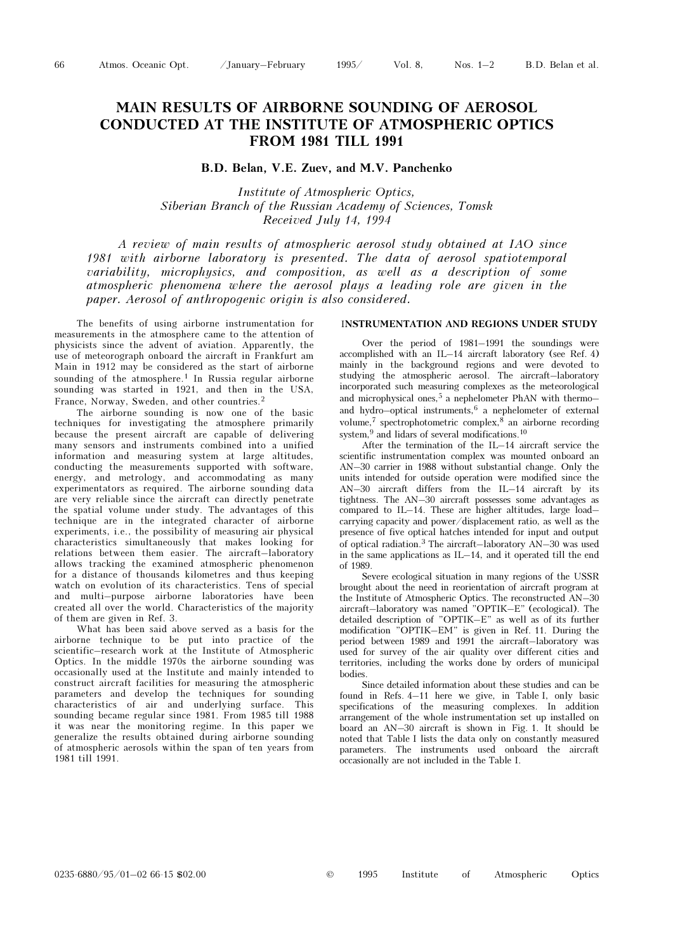# MAIN RESULTS OF AIRBORNE SOUNDING OF AEROSOL CONDUCTED AT THE INSTITUTE OF ATMOSPHERIC OPTICS FROM 1981 TILL 1991

# B.D. Belan, V.E. Zuev, and M.V. Panchenko

Institute of Atmospheric Optics, Siberian Branch of the Russian Academy of Sciences, Tomsk Received July 14, 1994

A review of main results of atmospheric aerosol study obtained at IAO since 1981 with airborne laboratory is presented. The data of aerosol spatiotemporal variability, microphysics, and composition, as well as a description of some atmospheric phenomena where the aerosol plays a leading role are given in the paper. Aerosol of anthropogenic origin is also considered.

The benefits of using airborne instrumentation for measurements in the atmosphere came to the attention of physicists since the advent of aviation. Apparently, the use of meteorograph onboard the aircraft in Frankfurt am Main in 1912 may be considered as the start of airborne sounding of the atmosphere.<sup>1</sup> In Russia regular airborne sounding was started in 1921, and then in the USA, France, Norway, Sweden, and other countries.<sup>2</sup>

The airborne sounding is now one of the basic techniques for investigating the atmosphere primarily because the present aircraft are capable of delivering many sensors and instruments combined into a unified information and measuring system at large altitudes, conducting the measurements supported with software, energy, and metrology, and accommodating as many experimentators as required. The airborne sounding data are very reliable since the aircraft can directly penetrate the spatial volume under study. The advantages of this technique are in the integrated character of airborne experiments, i.e., the possibility of measuring air physical characteristics simultaneously that makes looking for relations between them easier. The aircraft–laboratory allows tracking the examined atmospheric phenomenon for a distance of thousands kilometres and thus keeping watch on evolution of its characteristics. Tens of special and multi–purpose airborne laboratories have been created all over the world. Characteristics of the majority of them are given in Ref. 3.

What has been said above served as a basis for the airborne technique to be put into practice of the scientific–research work at the Institute of Atmospheric Optics. In the middle 1970s the airborne sounding was occasionally used at the Institute and mainly intended to construct aircraft facilities for measuring the atmospheric parameters and develop the techniques for sounding characteristics of air and underlying surface. This sounding became regular since 1981. From 1985 till 1988 it was near the monitoring regime. In this paper we generalize the results obtained during airborne sounding of atmospheric aerosols within the span of ten years from 1981 till 1991.

## INSTRUMENTATION AND REGIONS UNDER STUDY

Over the period of 1981–1991 the soundings were accomplished with an IL–14 aircraft laboratory (see Ref. 4) mainly in the background regions and were devoted to studying the atmospheric aerosol. The aircraft–laboratory incorporated such measuring complexes as the meteorological and microphysical ones,<sup>5</sup> a nephelometer PhAN with thermoand hydro–optical instruments,  $6$  a nephelometer of external volume,7 spectrophotometric complex,8 an airborne recording system,<sup>9</sup> and lidars of several modifications.<sup>10</sup>

After the termination of the IL–14 aircraft service the scientific instrumentation complex was mounted onboard an AN–30 carrier in 1988 without substantial change. Only the units intended for outside operation were modified since the AN–30 aircraft differs from the IL–14 aircraft by its tightness. The AN–30 aircraft possesses some advantages as compared to IL $-14$ . These are higher altitudes, large loadcarrying capacity and power/displacement ratio, as well as the presence of five optical hatches intended for input and output of optical radiation.3 The aircraft–laboratory AN–30 was used in the same applications as IL–14, and it operated till the end of 1989.

Severe ecological situation in many regions of the USSR brought about the need in reorientation of aircraft program at the Institute of Atmospheric Optics. The reconstructed AN–30 aircraft–laboratory was named "OPTIK–E" (ecological). The detailed description of "OPTIK–E" as well as of its further modification "OPTIK–EM" is given in Ref. 11. During the period between 1989 and 1991 the aircraft–laboratory was used for survey of the air quality over different cities and territories, including the works done by orders of municipal bodies.

Since detailed information about these studies and can be found in Refs. 4–11 here we give, in Table I, only basic specifications of the measuring complexes. In addition arrangement of the whole instrumentation set up installed on board an AN–30 aircraft is shown in Fig. 1. It should be noted that Table I lists the data only on constantly measured parameters. The instruments used onboard the aircraft occasionally are not included in the Table I.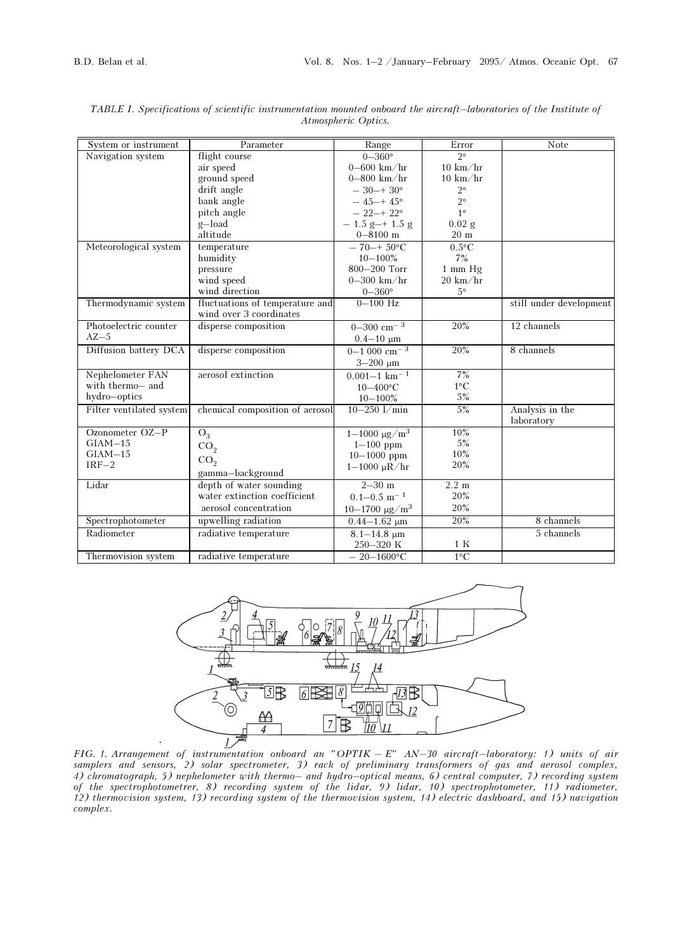| System or instrument     | Parameter                       | Range                        | Error              | Note                    |  |
|--------------------------|---------------------------------|------------------------------|--------------------|-------------------------|--|
| Navigation system        | flight course                   | $0 - 360^\circ$              | $2^{\circ}$        |                         |  |
|                          | air speed                       | $0 - 600$ km/hr              | $10 \text{ km/hr}$ |                         |  |
|                          | ground speed                    | $0 - 800$ km/hr              | $10 \text{ km/hr}$ |                         |  |
|                          | drift angle                     | $-30-+30^{\circ}$            | $2^{\circ}$        |                         |  |
|                          | bank angle                      | $-45+45^{\circ}$             | $2^{\circ}$        |                         |  |
|                          | pitch angle                     | $-22-+22^{\circ}$            | $1^{\circ}$        |                         |  |
|                          | g-load                          | $-1.5$ g-+ 1.5 g             | $0.02$ g           |                         |  |
|                          | altitude                        | $0 - 8100$ m                 | $20 \text{ m}$     |                         |  |
| Meteorological system    | temperature                     | $-70 + 50$ °C                | $0.5$ °C           |                         |  |
|                          | humidity                        | $10 - 100\%$                 | 7%                 |                         |  |
|                          | pressure                        | 800-200 Torr                 | $1$ mm $Hg$        |                         |  |
|                          | wind speed                      | $0-300$ km/hr                | $20 \text{ km/hr}$ |                         |  |
|                          | wind direction                  | $0 - 360^\circ$              | $5^{\circ}$        |                         |  |
| Thermodynamic system     | fluctuations of temperature and | $0 - 100$ Hz                 |                    | still under development |  |
|                          | wind over 3 coordinates         |                              |                    |                         |  |
| Photoelectric counter    | disperse composition            | $0-300$ cm <sup>-3</sup>     | 20%                | 12 channels             |  |
| $AZ-5$                   |                                 | $0.4 - 10 \mu m$             |                    |                         |  |
| Diffusion battery DCA    | disperse composition            | $0-1000$ cm <sup>-3</sup>    | 20%                | 8 channels              |  |
|                          |                                 | $3 - 200 \mu m$              |                    |                         |  |
| Nephelometer FAN         | aerosol extinction              | $0.001 - 1$ km <sup>-1</sup> | 7%                 |                         |  |
| with thermo- and         |                                 | $10 - 400$ °C                | $1^{\circ}C$       |                         |  |
| hydro-optics             |                                 | $10 - 100\%$                 | 5%                 |                         |  |
| Filter ventilated system | chemical composition of aerosol | $10 - 250$ $1/\text{min}$    | 5%                 | Analysis in the         |  |
|                          |                                 |                              |                    | laboratory              |  |
| Ozonometer OZ-P          | $O_3$                           | $1 - 1000 \text{ µg/m}^3$    | 10%                |                         |  |
| $GIAM-15$                | CO <sub>2</sub>                 | $1 - 100$ ppm                | 5%                 |                         |  |
| $GIAM-15$                | CO <sub>2</sub>                 | $10 - 1000$ ppm              | 10%                |                         |  |
| $IRF-2$                  |                                 | $1 - 1000 \mu R/hr$          | 20%                |                         |  |
|                          | gamma-background                |                              |                    |                         |  |
| Lidar                    | depth of water sounding         | $2 - 30$ m                   | $2.2 \text{ m}$    |                         |  |
|                          | water extinction coefficient    | $0.1 - 0.5$ m <sup>-1</sup>  | 20%                |                         |  |
|                          | aerosol concentration           | $10 - 1700 \text{ µg/m}^3$   | 20%                |                         |  |
| Spectrophotometer        | upwelling radiation             | $0.44 - 1.62 \mu m$          | 20%                | 8 channels              |  |
| Radiometer               | radiative temperature           | $8.1 - 14.8 \mu m$           |                    | 5 channels              |  |
|                          |                                 | 250-320 K                    | 1 K                |                         |  |
| Thermovision system      | radiative temperature           | $-20-1600$ °C                | $1^{\circ}C$       |                         |  |

TABLE I. Specifications of scientific instrumentation mounted onboard the aircraft–laboratories of the Institute of Atmospheric Optics.



FIG. 1. Arrangement of instrumentation onboard an "OPTIK – E" AN–30 aircraft–laboratory: 1) units of air samplers and sensors, 2) solar spectrometer, 3) rack of preliminary transformers of gas and aerosol complex, 4) chromatograph, 5) nephelometer with thermo– and hydro–optical means, 6) central computer, 7) recording system of the spectrophotometrer, 8) recording system of the lidar, 9) lidar, 10) spectrophotometer, 11) radiometer, 12) thermovision system, 13) recording system of the thermovision system, 14) electric dashboard, and 15) navigation complex.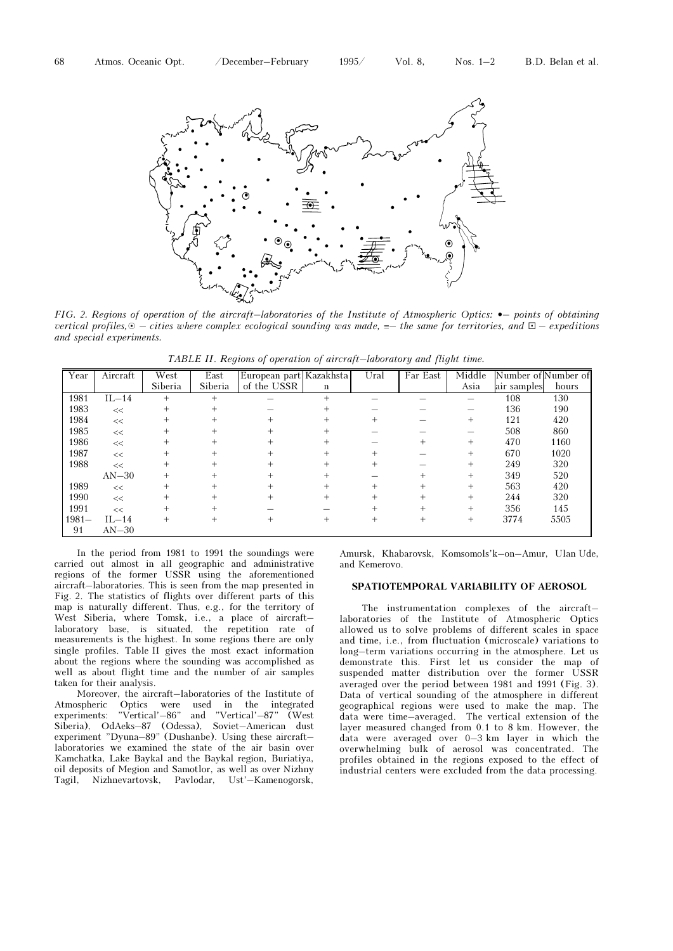

FIG. 2. Regions of operation of the aircraft-laboratories of the Institute of Atmospheric Optics:  $\bullet$ -points of obtaining vertical profiles,  $\odot$  – cities where complex ecological sounding was made,  $=$  the same for territories, and  $\square$  – expeditions and special experiments.

TABLE II. Regions of operation of aircraft–laboratory and flight time.

| Year     | Aircraft | West      | East    | European part Kazakhsta |                | Ural               | Far East | Middle | Number of Number of |       |
|----------|----------|-----------|---------|-------------------------|----------------|--------------------|----------|--------|---------------------|-------|
|          |          | Siberia   | Siberia | of the USSR             | $\bf n$        |                    |          | Asia   | air samples         | hours |
| 1981     | $IL-14$  | $+$       |         |                         | $\ddot{}$      |                    |          |        | 108                 | 130   |
| 1983     | <<       | $^{+}$    |         |                         | $\pm$          |                    |          |        | 136                 | 190   |
| 1984     | <<       |           |         |                         |                |                    |          | $+$    | 121                 | 420   |
| 1985     | <<       | $+$       |         |                         |                |                    |          |        | 508                 | 860   |
| 1986     | $<<$     |           |         |                         | $\ddot{}$      |                    |          | $+$    | 470                 | 1160  |
| 1987     | <<       | $\pm$     |         |                         | $\overline{+}$ |                    |          | $+$    | 670                 | 1020  |
| 1988     | <<       | $\pm$     |         |                         | $\ddot{}$      | $\! +$             |          | $^{+}$ | 249                 | 320   |
|          | $AN-30$  |           |         |                         |                |                    |          | $^{+}$ | 349                 | 520   |
| 1989     | $<<$     | $+$       |         |                         | $+$            | $\ddot{}$          | $^{+}$   | $+$    | 563                 | 420   |
| 1990     | $<<$     | $\pm$     |         |                         | $^{+}$         | $^+$               |          | $^{+}$ | 244                 | 320   |
| 1991     | <<       | $\pm$     |         |                         |                |                    | $^{+}$   | $+$    | 356                 | 145   |
| $1981 -$ | $IL-14$  | $\ddot{}$ |         | $\mathrm{+}$            | $^{+}$         | $\hspace{0.1mm} +$ |          | $^{+}$ | 3774                | 5505  |
| 91       | $AN-30$  |           |         |                         |                |                    |          |        |                     |       |

In the period from 1981 to 1991 the soundings were carried out almost in all geographic and administrative regions of the former USSR using the aforementioned aircraft–laboratories. This is seen from the map presented in Fig. 2. The statistics of flights over different parts of this map is naturally different. Thus, e.g., for the territory of West Siberia, where Tomsk, i.e., a place of aircraft– laboratory base, is situated, the repetition rate of measurements is the highest. In some regions there are only single profiles. Table II gives the most exact information about the regions where the sounding was accomplished as well as about flight time and the number of air samples taken for their analysis.

Moreover, the aircraft–laboratories of the Institute of Atmospheric Optics were used in the integrated experiments: "Vertical'–86" and "Vertical'–87" (West Siberia), OdAeks–87 (Odessa), Soviet–American dust experiment "Dyuna–89" (Dushanbe). Using these aircraft– laboratories we examined the state of the air basin over Kamchatka, Lake Baykal and the Baykal region, Buriatiya, oil deposits of Megion and Samotlor, as well as over Nizhny Tagil, Nizhnevartovsk, Pavlodar, Ust'–Kamenogorsk,

Amursk, Khabarovsk, Komsomols'k–on–Amur, Ulan Ude, and Kemerovo.

## SPATIOTEMPORAL VARIABILITY OF AEROSOL

The instrumentation complexes of the aircraft– laboratories of the Institute of Atmospheric Optics allowed us to solve problems of different scales in space and time, i.e., from fluctuation (microscale) variations to long–term variations occurring in the atmosphere. Let us demonstrate this. First let us consider the map of suspended matter distribution over the former USSR averaged over the period between 1981 and 1991 (Fig. 3). Data of vertical sounding of the atmosphere in different geographical regions were used to make the map. The data were time–averaged. The vertical extension of the layer measured changed from 0.1 to 8 km. However, the data were averaged over 0–3 km layer in which the overwhelming bulk of aerosol was concentrated. The profiles obtained in the regions exposed to the effect of industrial centers were excluded from the data processing.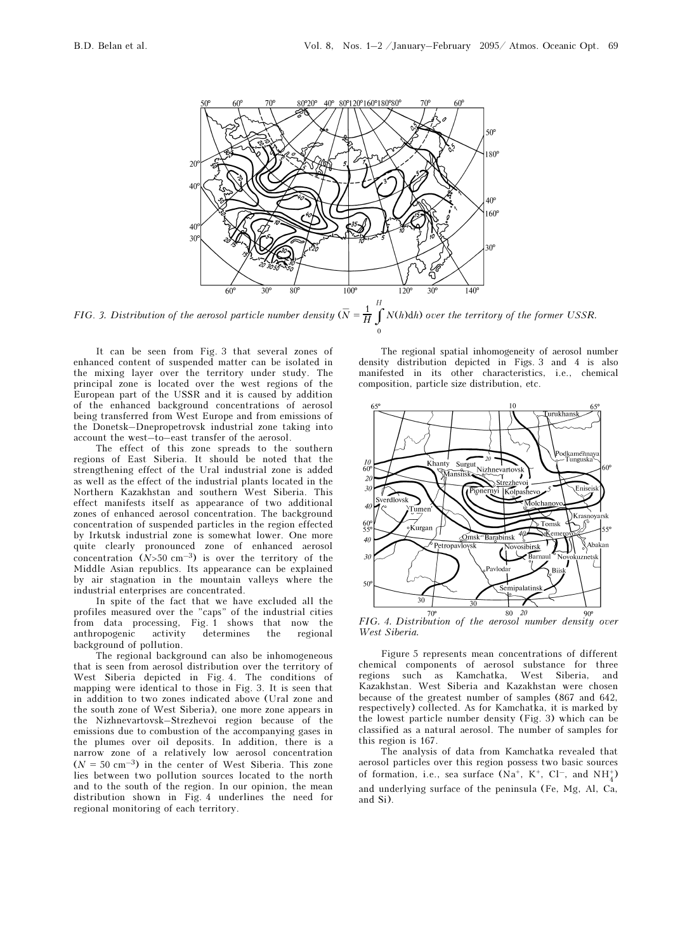

FIG. 3. Distribution of the aerosol particle number density  $(\bar{N} = \frac{1}{H} \int_{0}^{T}$ 0 N(h)dh) over the territory of the former USSR.

It can be seen from Fig. 3 that several zones of enhanced content of suspended matter can be isolated in the mixing layer over the territory under study. The principal zone is located over the west regions of the European part of the USSR and it is caused by addition of the enhanced background concentrations of aerosol being transferred from West Europe and from emissions of the Donetsk–Dnepropetrovsk industrial zone taking into account the west–to–east transfer of the aerosol.

The effect of this zone spreads to the southern regions of East Siberia. It should be noted that the strengthening effect of the Ural industrial zone is added as well as the effect of the industrial plants located in the Northern Kazakhstan and southern West Siberia. This effect manifests itself as appearance of two additional zones of enhanced aerosol concentration. The background concentration of suspended particles in the region effected by Irkutsk industrial zone is somewhat lower. One more quite clearly pronounced zone of enhanced aerosol concentration  $(N>50 \text{ cm}^{-3})$  is over the territory of the Middle Asian republics. Its appearance can be explained by air stagnation in the mountain valleys where the industrial enterprises are concentrated.

In spite of the fact that we have excluded all the profiles measured over the "caps" of the industrial cities from data processing, Fig. 1 shows that now the anthropogenic activity determines the regional background of pollution.

The regional background can also be inhomogeneous that is seen from aerosol distribution over the territory of West Siberia depicted in Fig. 4. The conditions of mapping were identical to those in Fig. 3. It is seen that in addition to two zones indicated above (Ural zone and the south zone of West Siberia), one more zone appears in the Nizhnevartovsk–Strezhevoi region because of the emissions due to combustion of the accompanying gases in the plumes over oil deposits. In addition, there is a narrow zone of a relatively low aerosol concentration  $(N = 50 \text{ cm}^{-3})$  in the center of West Siberia. This zone lies between two pollution sources located to the north and to the south of the region. In our opinion, the mean distribution shown in Fig. 4 underlines the need for regional monitoring of each territory.

The regional spatial inhomogeneity of aerosol number density distribution depicted in Figs. 3 and 4 is also manifested in its other characteristics, i.e., chemical composition, particle size distribution, etc.



FIG. 4. Distribution of the aerosol number density over West Siberia.

Figure 5 represents mean concentrations of different chemical components of aerosol substance for three regions such as Kamchatka, West Siberia, and Kazakhstan. West Siberia and Kazakhstan were chosen because of the greatest number of samples (867 and 642, respectively) collected. As for Kamchatka, it is marked by the lowest particle number density (Fig. 3) which can be classified as a natural aerosol. The number of samples for this region is 167.

The analysis of data from Kamchatka revealed that aerosol particles over this region possess two basic sources of formation, i.e., sea surface  $(Na^+, K^+, Cl^-, and NH_4^+)$ and underlying surface of the peninsula (Fe, Mg, Al, Ca, and Si).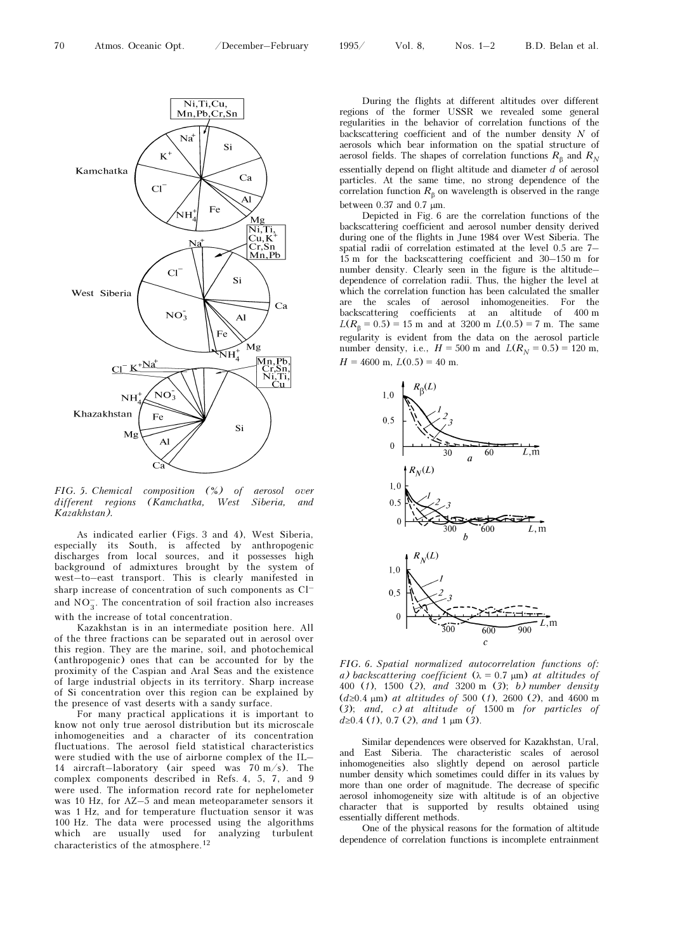

FIG. 5. Chemical composition (%) of aerosol over different regions (Kamchatka, West Siberia, and Kazakhstan).

As indicated earlier (Figs. 3 and 4), West Siberia, especially its South, is affected by anthropogenic discharges from local sources, and it possesses high background of admixtures brought by the system of west–to–east transport. This is clearly manifested in sharp increase of concentration of such components as Cl– and  $\mathrm{NO}_3^-.$  The concentration of soil fraction also increases with the increase of total concentration.

Kazakhstan is in an intermediate position here. All of the three fractions can be separated out in aerosol over this region. They are the marine, soil, and photochemical (anthropogenic) ones that can be accounted for by the proximity of the Caspian and Aral Seas and the existence of large industrial objects in its territory. Sharp increase of Si concentration over this region can be explained by the presence of vast deserts with a sandy surface.

For many practical applications it is important to know not only true aerosol distribution but its microscale inhomogeneities and a character of its concentration fluctuations. The aerosol field statistical characteristics were studied with the use of airborne complex of the IL– 14 aircraft–laboratory (air speed was 70 m/s). The complex components described in Refs. 4, 5, 7, and 9 were used. The information record rate for nephelometer was 10 Hz, for AZ–5 and mean meteoparameter sensors it was 1 Hz, and for temperature fluctuation sensor it was 100 Hz. The data were processed using the algorithms which are usually used for analyzing turbulent characteristics of the atmosphere.<sup>12</sup>

During the flights at different altitudes over different regions of the former USSR we revealed some general regularities in the behavior of correlation functions of the backscattering coefficient and of the number density N of aerosols which bear information on the spatial structure of aerosol fields. The shapes of correlation functions  $R_{\text{B}}$  and  $R_{N}$ essentially depend on flight altitude and diameter  $d$  of aerosol particles. At the same time, no strong dependence of the correlation function  $R<sub>β</sub>$  on wavelength is observed in the range between 0.37 and 0.7 μm.

Depicted in Fig. 6 are the correlation functions of the backscattering coefficient and aerosol number density derived during one of the flights in June 1984 over West Siberia. The spatial radii of correlation estimated at the level 0.5 are 7– 15 m for the backscattering coefficient and 30–150 m for number density. Clearly seen in the figure is the altitude– dependence of correlation radii. Thus, the higher the level at which the correlation function has been calculated the smaller are the scales of aerosol inhomogeneities. For the backscattering coefficients at an altitude of 400 m  $L(R<sub>β</sub> = 0.5) = 15$  m and at 3200 m  $L(0.5) = 7$  m. The same regularity is evident from the data on the aerosol particle number density, i.e.,  $H = 500$  m and  $L(R_N = 0.5) = 120$  m,  $H = 4600$  m,  $L(0.5) = 40$  m.



FIG. 6. Spatial normalized autocorrelation functions of: a) backscattering coefficient ( $\lambda = 0.7$  µm) at altitudes of 400 (1), 1500 (2), and 3200 m (3); b) number density (d≥0.4 μm) at altitudes of 500 (1), 2600 (2), and 4600 m (3); and, c) at altitude of 1500 m for particles of  $d \ge 0.4$  (1), 0.7 (2), and 1  $\mu$ m (3).

Similar dependences were observed for Kazakhstan, Ural, and East Siberia. The characteristic scales of aerosol inhomogeneities also slightly depend on aerosol particle number density which sometimes could differ in its values by more than one order of magnitude. The decrease of specific aerosol inhomogeneity size with altitude is of an objective character that is supported by results obtained using essentially different methods.

One of the physical reasons for the formation of altitude dependence of correlation functions is incomplete entrainment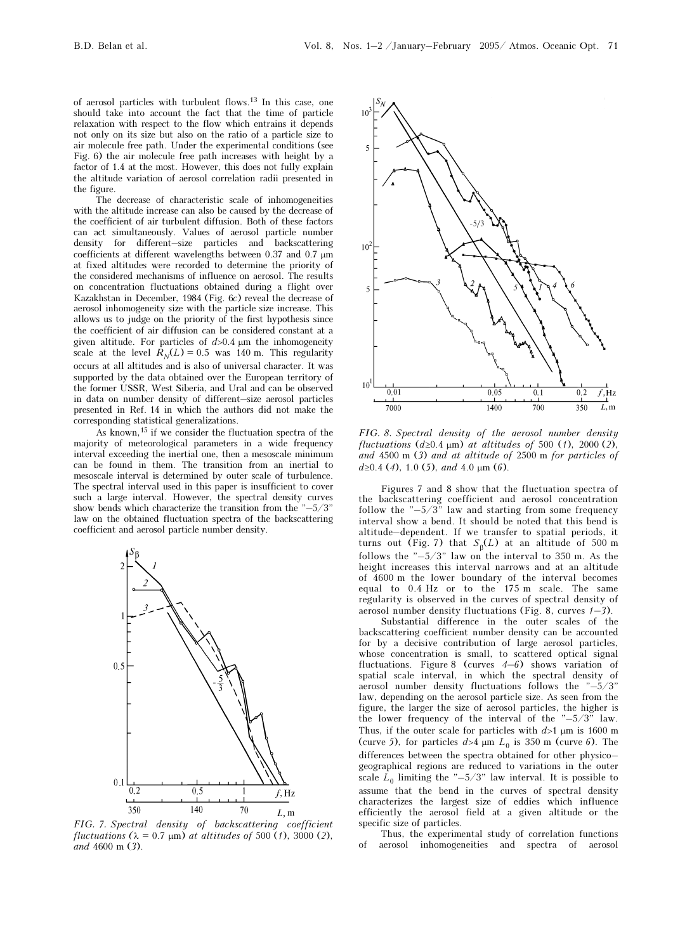of aerosol particles with turbulent flows.13 In this case, one should take into account the fact that the time of particle relaxation with respect to the flow which entrains it depends not only on its size but also on the ratio of a particle size to air molecule free path. Under the experimental conditions (see Fig. 6) the air molecule free path increases with height by a factor of 1.4 at the most. However, this does not fully explain the altitude variation of aerosol correlation radii presented in the figure.

The decrease of characteristic scale of inhomogeneities with the altitude increase can also be caused by the decrease of the coefficient of air turbulent diffusion. Both of these factors can act simultaneously. Values of aerosol particle number density for different–size particles and backscattering coefficients at different wavelengths between 0.37 and 0.7 μm at fixed altitudes were recorded to determine the priority of the considered mechanisms of influence on aerosol. The results on concentration fluctuations obtained during a flight over Kazakhstan in December, 1984 (Fig. 6c) reveal the decrease of aerosol inhomogeneity size with the particle size increase. This allows us to judge on the priority of the first hypothesis since the coefficient of air diffusion can be considered constant at a given altitude. For particles of  $d > 0.4$  µm the inhomogeneity scale at the level  $R_N(L) = 0.5$  was 140 m. This regularity occurs at all altitudes and is also of universal character. It was supported by the data obtained over the European territory of the former USSR, West Siberia, and Ural and can be observed in data on number density of different–size aerosol particles presented in Ref. 14 in which the authors did not make the corresponding statistical generalizations.

As known,15 if we consider the fluctuation spectra of the majority of meteorological parameters in a wide frequency interval exceeding the inertial one, then a mesoscale minimum can be found in them. The transition from an inertial to mesoscale interval is determined by outer scale of turbulence. The spectral interval used in this paper is insufficient to cover such a large interval. However, the spectral density curves show bends which characterize the transition from the "–5/3" law on the obtained fluctuation spectra of the backscattering coefficient and aerosol particle number density.



FIG. 7. Spectral density of backscattering coefficient fluctuations  $(\lambda = 0.7 \mu m)$  at altitudes of 500 (1), 3000 (2), and 4600 m (3).



FIG. 8. Spectral density of the aerosol number density fluctuations  $(d\geq 0.4 \mu m)$  at altitudes of 500 (1), 2000 (2), and 4500 m (3) and at altitude of 2500 m for particles of  $d\geq 0.4$  (4), 1.0 (5), and 4.0  $\mu$ m (6).

Figures 7 and 8 show that the fluctuation spectra of the backscattering coefficient and aerosol concentration follow the "–5/3" law and starting from some frequency interval show a bend. It should be noted that this bend is altitude–dependent. If we transfer to spatial periods, it turns out (Fig. 7) that  $S_{\beta}(L)$  at an altitude of 500 m follows the "–5/3" law on the interval to 350 m. As the height increases this interval narrows and at an altitude of 4600 m the lower boundary of the interval becomes equal to 0.4 Hz or to the 175 m scale. The same regularity is observed in the curves of spectral density of aerosol number density fluctuations (Fig. 8, curves  $1-3$ ).

Substantial difference in the outer scales of the backscattering coefficient number density can be accounted for by a decisive contribution of large aerosol particles, whose concentration is small, to scattered optical signal fluctuations. Figure 8 (curves  $4-6$ ) shows variation of spatial scale interval, in which the spectral density of aerosol number density fluctuations follows the "–5/3" law, depending on the aerosol particle size. As seen from the figure, the larger the size of aerosol particles, the higher is the lower frequency of the interval of the "–5/3" law. Thus, if the outer scale for particles with  $d>1$  µm is 1600 m (curve 5), for particles  $d > 4 \mu m L_0$  is 350 m (curve 6). The differences between the spectra obtained for other physico– geographical regions are reduced to variations in the outer scale  $\overline{L}_0$  limiting the "-5/3" law interval. It is possible to assume that the bend in the curves of spectral density characterizes the largest size of eddies which influence efficiently the aerosol field at a given altitude or the specific size of particles.

Thus, the experimental study of correlation functions of aerosol inhomogeneities and spectra of aerosol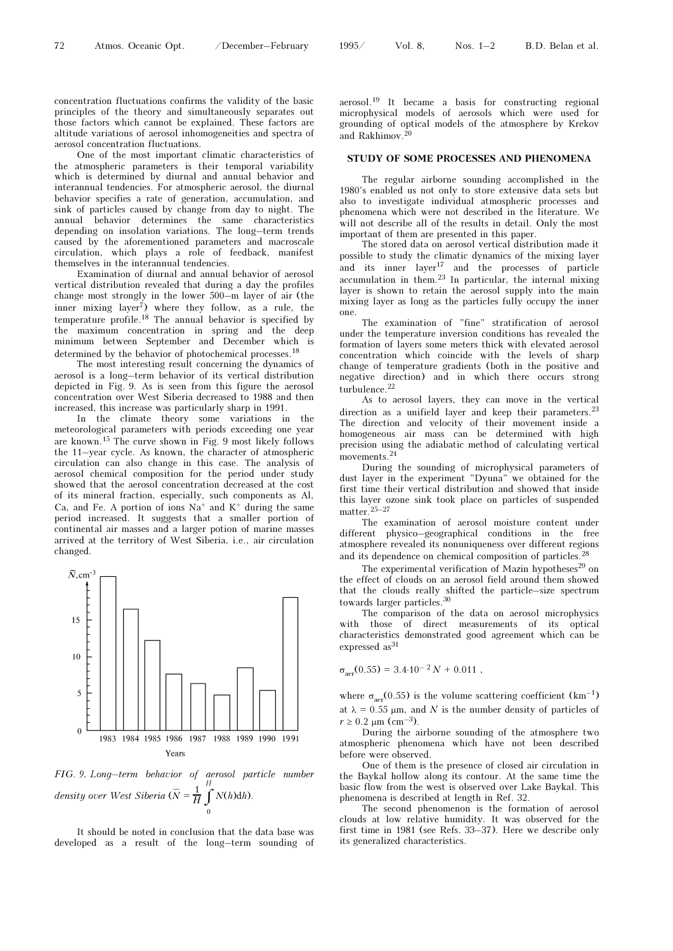concentration fluctuations confirms the validity of the basic principles of the theory and simultaneously separates out those factors which cannot be explained. These factors are altitude variations of aerosol inhomogeneities and spectra of aerosol concentration fluctuations.

One of the most important climatic characteristics of the atmospheric parameters is their temporal variability which is determined by diurnal and annual behavior and interannual tendencies. For atmospheric aerosol, the diurnal behavior specifies a rate of generation, accumulation, and sink of particles caused by change from day to night. The annual behavior determines the same characteristics depending on insolation variations. The long–term trends caused by the aforementioned parameters and macroscale circulation, which plays a role of feedback, manifest themselves in the interannual tendencies.

Examination of diurnal and annual behavior of aerosol vertical distribution revealed that during a day the profiles change most strongly in the lower 500–m layer of air (the inner mixing  $laver^7$ ) where they follow, as a rule, the temperature profile.18 The annual behavior is specified by the maximum concentration in spring and the deep minimum between September and December which is determined by the behavior of photochemical processes.<sup>18</sup>

The most interesting result concerning the dynamics of aerosol is a long–term behavior of its vertical distribution depicted in Fig. 9. As is seen from this figure the aerosol concentration over West Siberia decreased to 1988 and then increased, this increase was particularly sharp in 1991.

In the climate theory some variations in the meteorological parameters with periods exceeding one year are known.15 The curve shown in Fig. 9 most likely follows the 11–year cycle. As known, the character of atmospheric circulation can also change in this case. The analysis of aerosol chemical composition for the period under study showed that the aerosol concentration decreased at the cost of its mineral fraction, especially, such components as Al, Ca, and Fe. A portion of ions  $Na^+$  and  $K^+$  during the same period increased. It suggests that a smaller portion of continental air masses and a larger potion of marine masses arrived at the territory of West Siberia, i.e., air circulation changed.



FIG. 9. Long–term behavior of aerosol particle number density over West Siberia ( $\overline{N} = \frac{1}{H} \int_0^{\pi}$ 0 H  $N(h)dh$ ).

It should be noted in conclusion that the data base was developed as a result of the long–term sounding of

aerosol.19 It became a basis for constructing regional microphysical models of aerosols which were used for grounding of optical models of the atmosphere by Krekov and Rakhimov.<sup>20</sup>

#### STUDY OF SOME PROCESSES AND PHENOMENA

The regular airborne sounding accomplished in the 1980's enabled us not only to store extensive data sets but also to investigate individual atmospheric processes and phenomena which were not described in the literature. We will not describe all of the results in detail. Only the most important of them are presented in this paper.

The stored data on aerosol vertical distribution made it possible to study the climatic dynamics of the mixing layer and its inner  $layer^{17}$  and the processes of particle accumulation in them.23 In particular, the internal mixing layer is shown to retain the aerosol supply into the main mixing layer as long as the particles fully occupy the inner one.

The examination of "fine" stratification of aerosol under the temperature inversion conditions has revealed the formation of layers some meters thick with elevated aerosol concentration which coincide with the levels of sharp change of temperature gradients (both in the positive and negative direction) and in which there occurs strong turbulence.<sup>22</sup>

As to aerosol layers, they can move in the vertical direction as a unifield layer and keep their parameters.<sup>23</sup> The direction and velocity of their movement inside a homogeneous air mass can be determined with high precision using the adiabatic method of calculating vertical movements.<sup>24</sup>

During the sounding of microphysical parameters of dust layer in the experiment "Dyuna" we obtained for the first time their vertical distribution and showed that inside this layer ozone sink took place on particles of suspended  $matter<sup>25–27</sup>$ 

The examination of aerosol moisture content under different physico–geographical conditions in the free atmosphere revealed its nonuniqueness over different regions and its dependence on chemical composition of particles.<sup>28</sup>

The experimental verification of Mazin hypotheses<sup>29</sup> on the effect of clouds on an aerosol field around them showed that the clouds really shifted the particle–size spectrum towards larger particles.<sup>30</sup>

The comparison of the data on aerosol microphysics with those of direct measurements of its optical characteristics demonstrated good agreement which can be expressed as<sup>31</sup>

 $\sigma_{\text{aer}}(0.55) = 3.4 \cdot 10^{-2} N + 0.011$ ,

where  $\sigma_{\text{aer}}(0.55)$  is the volume scattering coefficient  $(km^{-1})$ at  $\lambda = 0.55$  μm, and N is the number density of particles of  $r$  ≥ 0.2 μm (cm<sup>-3</sup>).

During the airborne sounding of the atmosphere two atmospheric phenomena which have not been described before were observed.

One of them is the presence of closed air circulation in the Baykal hollow along its contour. At the same time the basic flow from the west is observed over Lake Baykal. This phenomena is described at length in Ref. 32.

The second phenomenon is the formation of aerosol clouds at low relative humidity. It was observed for the first time in 1981 (see Refs. 33–37). Here we describe only its generalized characteristics.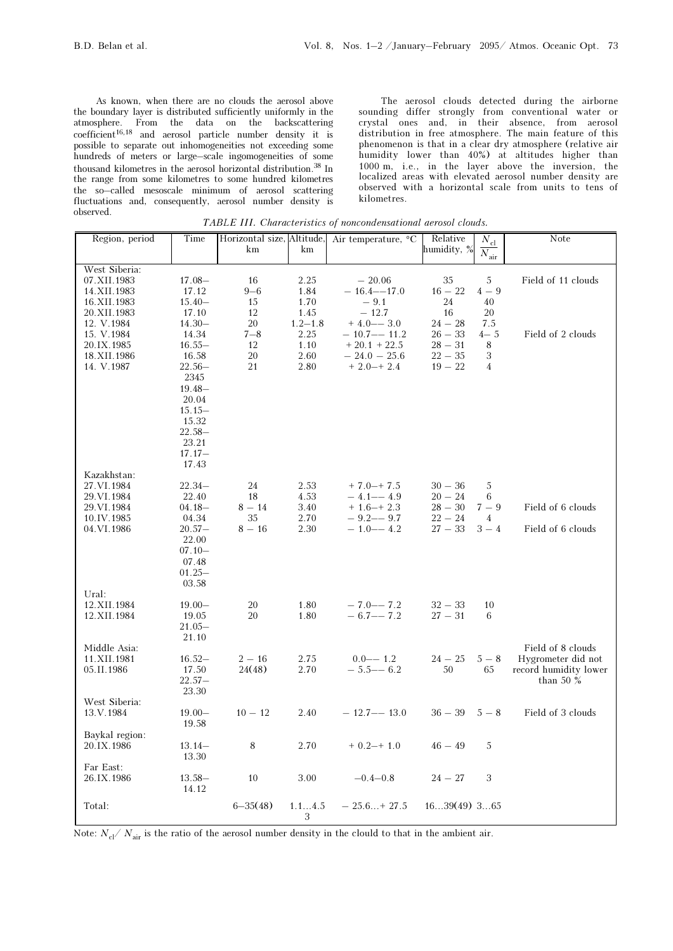As known, when there are no clouds the aerosol above the boundary layer is distributed sufficiently uniformly in the atmosphere. From the data on the backscattering  $\text{coefficient}^{16,18}$  and aerosol particle number density it is possible to separate out inhomogeneities not exceeding some hundreds of meters or large–scale ingomogeneities of some thousand kilometres in the aerosol horizontal distribution.38 In the range from some kilometres to some hundred kilometres the so–called mesoscale minimum of aerosol scattering fluctuations and, consequently, aerosol number density is observed.

The aerosol clouds detected during the airborne sounding differ strongly from conventional water or crystal ones and, in their absence, from aerosol distribution in free atmosphere. The main feature of this phenomenon is that in a clear dry atmosphere (relative air humidity lower than 40%) at altitudes higher than 1000 m, i.e., in the layer above the inversion, the localized areas with elevated aerosol number density are observed with a horizontal scale from units to tens of kilometres.

TABLE III. Characteristics of noncondensational aerosol clouds.

| Region, period             | Time               | Horizontal size, Altitude,<br>km | km           | Air temperature, $°C$        | Relative<br>humidity, % | $N_{\rm cl}$<br>$\overline{N_{\rm air}}$ | Note                  |
|----------------------------|--------------------|----------------------------------|--------------|------------------------------|-------------------------|------------------------------------------|-----------------------|
|                            |                    |                                  |              |                              |                         |                                          |                       |
| West Siberia:              | $17.08 -$          |                                  | 2.25         |                              |                         |                                          |                       |
| 07.XII.1983<br>14.XII.1983 | 17.12              | 16<br>$9 - 6$                    | 1.84         | $-20.06$<br>$-16.4 - -17.0$  | 35<br>$16 - 22$         | 5<br>$4-9$                               | Field of 11 clouds    |
| 16.XII.1983                | $15.40-$           | 15                               | 1.70         | $-9.1$                       | 24                      | 40                                       |                       |
| 20.XII.1983                | 17.10              | 12                               | 1.45         | $-12.7$                      | 16                      | 20                                       |                       |
| 12. V.1984                 | $14.30 -$          | 20                               | $1.2 - 1.8$  | $+4.0 - -3.0$                | $24 - 28$               | 7.5                                      |                       |
| 15. V.1984                 | 14.34              | $7 - 8$                          | 2.25         | $-10.7 - -11.2$              | $26 - 33$               | $4 - 5$                                  | Field of 2 clouds     |
| 20.IX.1985                 | $16.55-$           | 12                               | 1.10         | $+20.1 + 22.5$               | $28 - 31$               | 8                                        |                       |
| 18.XII.1986                | 16.58              | 20                               | 2.60         | $-24.0 - 25.6$               | $22 - 35$               | 3                                        |                       |
| 14. V.1987                 | $22.56-$           | 21                               | 2.80         | $+2.0-+2.4$                  | $19 - 22$               | $\overline{4}$                           |                       |
|                            | 2345               |                                  |              |                              |                         |                                          |                       |
|                            | $19.48 -$          |                                  |              |                              |                         |                                          |                       |
|                            | 20.04<br>$15.15-$  |                                  |              |                              |                         |                                          |                       |
|                            | 15.32              |                                  |              |                              |                         |                                          |                       |
|                            | $22.58-$           |                                  |              |                              |                         |                                          |                       |
|                            | 23.21              |                                  |              |                              |                         |                                          |                       |
|                            | $17.17-$           |                                  |              |                              |                         |                                          |                       |
|                            | 17.43              |                                  |              |                              |                         |                                          |                       |
| Kazakhstan:                |                    |                                  |              |                              |                         |                                          |                       |
| 27.VI.1984                 | $22.34-$           | 24                               | 2.53         | $+7.0 + 7.5$                 | $30 - 36$               | 5                                        |                       |
| 29.VI.1984                 | 22.40              | 18                               | 4.53         | $-4.1 - -4.9$                | $20 - 24$               | 6                                        |                       |
| 29.VI.1984<br>10.IV.1985   | $04.18 -$          | $8 - 14$<br>35                   | 3.40         | $+1.6-+2.3$<br>$-9.2 - -9.7$ | $28 - 30$<br>$22 - 24$  | $7 - 9$<br>$\overline{4}$                | Field of 6 clouds     |
| 04.VI.1986                 | 04.34<br>$20.57-$  | $8 - 16$                         | 2.70<br>2.30 | $-1.0 - -4.2$                | $27 - 33$               | $3 - 4$                                  | Field of 6 clouds     |
|                            | 22.00              |                                  |              |                              |                         |                                          |                       |
|                            | $07.10 -$          |                                  |              |                              |                         |                                          |                       |
|                            | 07.48              |                                  |              |                              |                         |                                          |                       |
|                            | $01.25 -$          |                                  |              |                              |                         |                                          |                       |
|                            | 03.58              |                                  |              |                              |                         |                                          |                       |
| Ural:                      |                    |                                  |              |                              |                         |                                          |                       |
| 12.XII.1984                | $19.00 -$          | 20                               | 1.80         | $-7.0 - -7.2$                | $32 - 33$               | 10                                       |                       |
| 12.XII.1984                | 19.05<br>$21.05 -$ | 20                               | 1.80         | $-6.7 - -7.2$                | $27 - 31$               | 6                                        |                       |
|                            | 21.10              |                                  |              |                              |                         |                                          |                       |
| Middle Asia:               |                    |                                  |              |                              |                         |                                          | Field of 8 clouds     |
| 11.XII.1981                | $16.52-$           | $2 - 16$                         | 2.75         | $0.0 - 1.2$                  | $24 - 25$               | $5 - 8$                                  | Hygrometer did not    |
| 05.II.1986                 | 17.50              | 24(48)                           | 2.70         | $-5.5 - -6.2$                | 50                      | 65                                       | record humidity lower |
|                            | $22.57-$           |                                  |              |                              |                         |                                          | than 50 $\%$          |
|                            | 23.30              |                                  |              |                              |                         |                                          |                       |
| West Siberia:              |                    |                                  |              |                              |                         |                                          |                       |
| 13.V.1984                  | $19.00 -$          | $10 - 12$                        | 2.40         | $-12.7 - -13.0$              | $36 - 39$               | $5 - 8$                                  | Field of 3 clouds     |
|                            | 19.58              |                                  |              |                              |                         |                                          |                       |
| Baykal region:             |                    |                                  |              |                              |                         |                                          |                       |
| 20.IX.1986                 | $13.14-$<br>13.30  | 8                                | 2.70         | $+ 0.2 - + 1.0$              | $46 - 49$               | 5                                        |                       |
| Far East:                  |                    |                                  |              |                              |                         |                                          |                       |
| 26.IX.1986                 | $13.58-$           | $10\,$                           | $3.00\,$     | $-0.4 - 0.8$                 | $24 - 27$               | $\,3$                                    |                       |
|                            | 14.12              |                                  |              |                              |                         |                                          |                       |
|                            |                    |                                  |              |                              |                         |                                          |                       |
| Total:                     |                    | $6 - 35(48)$                     | 1.14.5<br>3  | $-25.6+27.5$                 | $1639(49)$ 365          |                                          |                       |
|                            |                    |                                  |              |                              |                         |                                          |                       |

Note:  $N_{\rm cl}/N_{\rm air}$  is the ratio of the aerosol number density in the clould to that in the ambient air.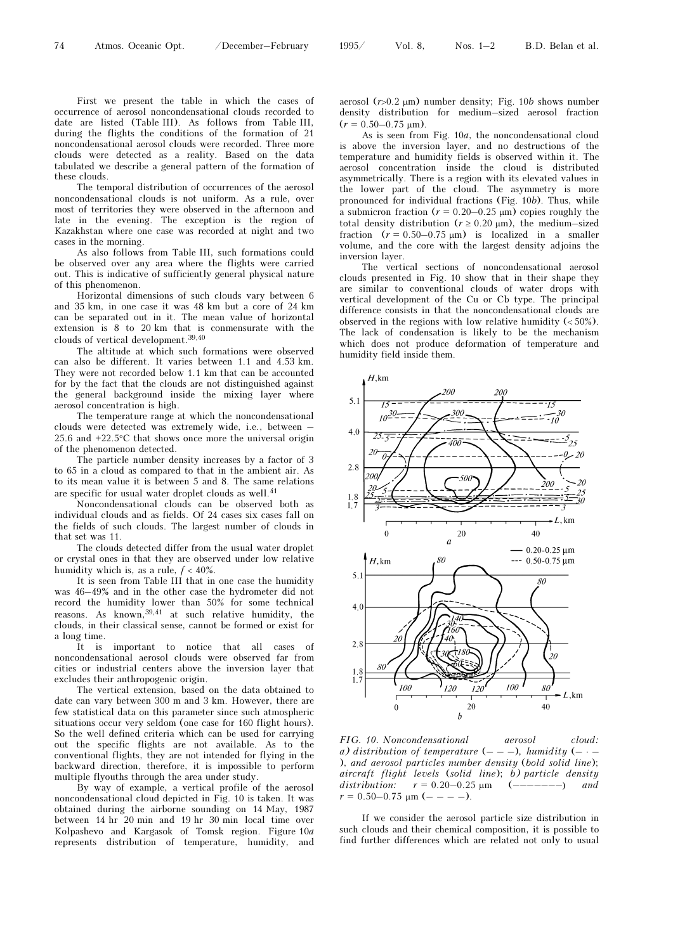First we present the table in which the cases of occurrence of aerosol noncondensational clouds recorded to date are listed (Table III). As follows from Table III, during the flights the conditions of the formation of 21 noncondensational aerosol clouds were recorded. Three more clouds were detected as a reality. Based on the data tabulated we describe a general pattern of the formation of these clouds.

The temporal distribution of occurrences of the aerosol noncondensational clouds is not uniform. As a rule, over most of territories they were observed in the afternoon and late in the evening. The exception is the region of Kazakhstan where one case was recorded at night and two cases in the morning.

As also follows from Table III, such formations could be observed over any area where the flights were carried out. This is indicative of sufficiently general physical nature of this phenomenon.

Horizontal dimensions of such clouds vary between 6 and 35 km, in one case it was 48 km but a core of 24 km can be separated out in it. The mean value of horizontal extension is 8 to 20 km that is conmensurate with the clouds of vertical development.39,40

The altitude at which such formations were observed can also be different. It varies between 1.1 and 4.53 km. They were not recorded below 1.1 km that can be accounted for by the fact that the clouds are not distinguished against the general background inside the mixing layer where aerosol concentration is high.

The temperature range at which the noncondensational clouds were detected was extremely wide, i.e., between – 25.6 and +22.5°C that shows once more the universal origin of the phenomenon detected.

The particle number density increases by a factor of 3 to 65 in a cloud as compared to that in the ambient air. As to its mean value it is between 5 and 8. The same relations are specific for usual water droplet clouds as well.  $^{41}$ 

Noncondensational clouds can be observed both as individual clouds and as fields. Of 24 cases six cases fall on the fields of such clouds. The largest number of clouds in that set was 11.

The clouds detected differ from the usual water droplet or crystal ones in that they are observed under low relative humidity which is, as a rule,  $f < 40\%$ .

It is seen from Table III that in one case the humidity was 46–49% and in the other case the hydrometer did not record the humidity lower than 50% for some technical reasons. As known,<sup>39,41</sup> at such relative humidity, the clouds, in their classical sense, cannot be formed or exist for a long time.

It is important to notice that all cases of noncondensational aerosol clouds were observed far from cities or industrial centers above the inversion layer that excludes their anthropogenic origin.

The vertical extension, based on the data obtained to date can vary between 300 m and 3 km. However, there are few statistical data on this parameter since such atmospheric situations occur very seldom (one case for 160 flight hours). So the well defined criteria which can be used for carrying out the specific flights are not available. As to the conventional flights, they are not intended for flying in the backward direction, therefore, it is impossible to perform multiple flyouths through the area under study.

By way of example, a vertical profile of the aerosol noncondensational cloud depicted in Fig. 10 is taken. It was obtained during the airborne sounding on 14 May, 1987 between 14 hr 20 min and 19 hr 30 min local time over Kolpashevo and Kargasok of Tomsk region. Figure 10a represents distribution of temperature, humidity, and aerosol  $(r>0.2 \mu m)$  number density; Fig. 10b shows number density distribution for medium–sized aerosol fraction  $(r = 0.50 - 0.75 \text{ }\mu\text{m})$ .

As is seen from Fig. 10a, the noncondensational cloud is above the inversion layer, and no destructions of the temperature and humidity fields is observed within it. The aerosol concentration inside the cloud is distributed asymmetrically. There is a region with its elevated values in the lower part of the cloud. The asymmetry is more pronounced for individual fractions (Fig. 10b). Thus, while a submicron fraction ( $r = 0.20-0.25 \text{ }\mu\text{m}$ ) copies roughly the total density distribution ( $r \ge 0.20 \mu m$ ), the medium–sized fraction  $(r = 0.50-0.75 \text{ }\mu\text{m})$  is localized in a smaller volume, and the core with the largest density adjoins the inversion layer.

The vertical sections of noncondensational aerosol clouds presented in Fig. 10 show that in their shape they are similar to conventional clouds of water drops with vertical development of the Cu or Cb type. The principal difference consists in that the noncondensational clouds are observed in the regions with low relative humidity (< 50%). The lack of condensation is likely to be the mechanism which does not produce deformation of temperature and humidity field inside them.



FIG. 10. Noncondensational aerosol cloud: a) distribution of temperature  $(---)$ , humidity  $(---)$ ), and aerosol particles number density (bold solid line); aircraft flight levels (solid line);  $\overline{b}$ ) particle density distribution:  $r = 0.20 - 0.25 \text{ }\mu\text{m}$  (-------) and  $r = 0.50 - 0.75$   $\mu$ m (- - - -).

If we consider the aerosol particle size distribution in such clouds and their chemical composition, it is possible to find further differences which are related not only to usual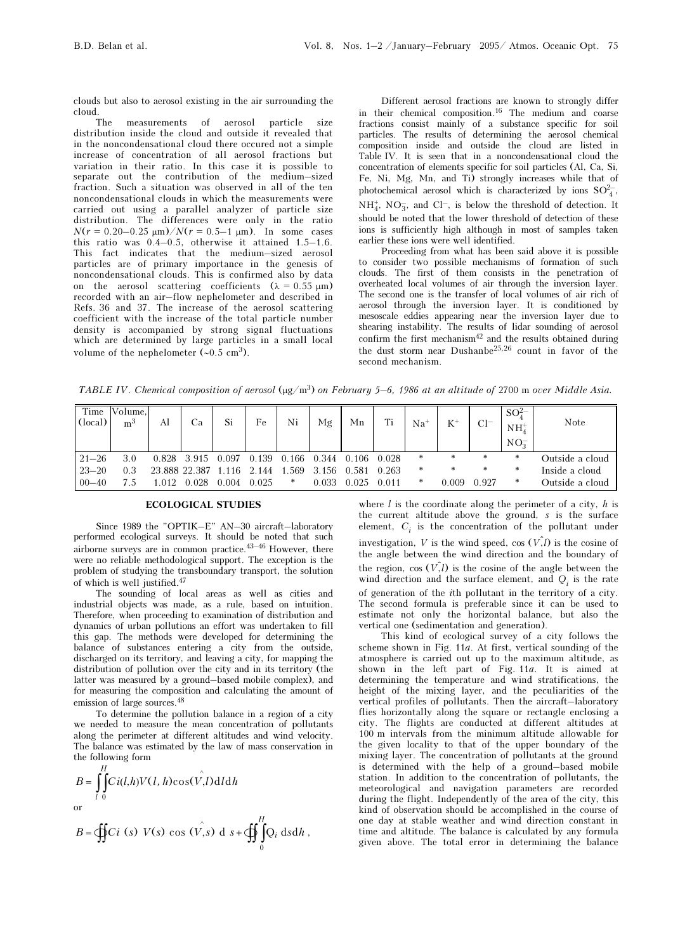clouds but also to aerosol existing in the air surrounding the cloud.

The measurements of aerosol particle size distribution inside the cloud and outside it revealed that in the noncondensational cloud there occured not a simple increase of concentration of all aerosol fractions but variation in their ratio. In this case it is possible to separate out the contribution of the medium–sized fraction. Such a situation was observed in all of the ten noncondensational clouds in which the measurements were carried out using a parallel analyzer of particle size distribution. The differences were only in the ratio  $N(r = 0.20 - 0.25 \text{ nm})/N(r = 0.5 - 1 \text{ nm})$ . In some cases this ratio was 0.4–0.5, otherwise it attained 1.5–1.6. This fact indicates that the medium–sized aerosol particles are of primary importance in the genesis of noncondensational clouds. This is confirmed also by data on the aerosol scattering coefficients ( $\lambda = 0.55 \mu m$ ) recorded with an air–flow nephelometer and described in Refs. 36 and 37. The increase of the aerosol scattering coefficient with the increase of the total particle number density is accompanied by strong signal fluctuations which are determined by large particles in a small local volume of the nephelometer (∼0.5 cm3).

Different aerosol fractions are known to strongly differ in their chemical composition.16 The medium and coarse fractions consist mainly of a substance specific for soil particles. The results of determining the aerosol chemical composition inside and outside the cloud are listed in Table IV. It is seen that in a noncondensational cloud the concentration of elements specific for soil particles (Al, Ca, Si, Fe, Ni, Mg, Mn, and Ti) strongly increases while that of photochemical aerosol which is characterized by ions  $SO_4^{2-}$ ,  $NH_4^+$ , NO<sub>3</sub>, and Cl<sup>-</sup>, is below the threshold of detection. It should be noted that the lower threshold of detection of these ions is sufficiently high although in most of samples taken earlier these ions were well identified.

Proceeding from what has been said above it is possible to consider two possible mechanisms of formation of such clouds. The first of them consists in the penetration of overheated local volumes of air through the inversion layer. The second one is the transfer of local volumes of air rich of aerosol through the inversion layer. It is conditioned by mesoscale eddies appearing near the inversion layer due to shearing instability. The results of lidar sounding of aerosol confirm the first mechanism $42$  and the results obtained during the dust storm near Dushanbe25,26 count in favor of the second mechanism.

TABLE IV. Chemical composition of aerosol  $(\mu g/m^3)$  on February 5–6, 1986 at an altitude of 2700 m over Middle Asia.

| Time<br>(local) | Volume,<br>m <sup>3</sup> | Al                  | Ca          | Si    | Fe    | Ni    | Mg          | Mn    | Ti    | Na <sup>+</sup> | $K^+$  | $Cl^-$ | $SO_4^{2-}$<br>$NH4+$<br>NO <sub>2</sub> | Note            |
|-----------------|---------------------------|---------------------|-------------|-------|-------|-------|-------------|-------|-------|-----------------|--------|--------|------------------------------------------|-----------------|
| $21 - 26$       | 3.0                       | 0.828               | 3.915 0.097 |       | 0.139 | 0.166 | 0.344 0.106 |       | 0.028 | $\ast$          | $\ast$ | *      | *                                        | Outside a cloud |
| $23 - 20$       | 0.3                       | 23.888 22.387 1.116 |             |       | 2.144 | 1.569 | 3.156       | 0.581 | 0.263 | *               | *      | *      | *                                        | Inside a cloud  |
| $00 - 40$       |                           | 1.012               | 0.028       | 0.004 | 0.025 | $*$   | 0.033       | 0.025 | 0.011 | $\ast$          | 0.009  | 0.927  | *                                        | Outside a cloud |

#### ECOLOGICAL STUDIES

Since 1989 the "OPTIK–E" AN–30 aircraft–laboratory performed ecological surveys. It should be noted that such airborne surveys are in common practice.43–46 However, there were no reliable methodological support. The exception is the problem of studying the transboundary transport, the solution of which is well justified.<sup>47</sup>

The sounding of local areas as well as cities and industrial objects was made, as a rule, based on intuition. Therefore, when proceeding to examination of distribution and dynamics of urban pollutions an effort was undertaken to fill this gap. The methods were developed for determining the balance of substances entering a city from the outside, discharged on its territory, and leaving a city, for mapping the distribution of pollution over the city and in its territory (the latter was measured by a ground–based mobile complex), and for measuring the composition and calculating the amount of emission of large sources.<sup>48</sup>

To determine the pollution balance in a region of a city we needed to measure the mean concentration of pollutants along the perimeter at different altitudes and wind velocity. The balance was estimated by the law of mass conservation in the following form

$$
B = \int_{l=0}^{H} Ci(l,h)V(l,h)\cos(\hat{V},l)dldh
$$
  
or

$$
B=\oint\int Ci\ (s)\ V(s)\ \cos\ (\stackrel{\wedge}{V},s)\ d\ s+\oint\int\limits_0^H Q_i\ ds dh\ ,
$$

where  $l$  is the coordinate along the perimeter of a city,  $h$  is the current altitude above the ground, s is the surface element,  $C_i$  is the concentration of the pollutant under investigation, V is the wind speed, cos  $(\hat{V}, \hat{l})$  is the cosine of the angle between the wind direction and the boundary of the region,  $\cos(V, l)$  is the cosine of the angle between the wind direction and the surface element, and  $Q_i$  is the rate of generation of the ith pollutant in the territory of a city. The second formula is preferable since it can be used to estimate not only the horizontal balance, but also the vertical one (sedimentation and generation).

This kind of ecological survey of a city follows the scheme shown in Fig.  $11a$ . At first, vertical sounding of the atmosphere is carried out up to the maximum altitude, as shown in the left part of Fig. 11a. It is aimed at determining the temperature and wind stratifications, the height of the mixing layer, and the peculiarities of the vertical profiles of pollutants. Then the aircraft–laboratory flies horizontally along the square or rectangle enclosing a city. The flights are conducted at different altitudes at 100 m intervals from the minimum altitude allowable for the given locality to that of the upper boundary of the mixing layer. The concentration of pollutants at the ground is determined with the help of a ground–based mobile station. In addition to the concentration of pollutants, the meteorological and navigation parameters are recorded during the flight. Independently of the area of the city, this kind of observation should be accomplished in the course of one day at stable weather and wind direction constant in time and altitude. The balance is calculated by any formula given above. The total error in determining the balance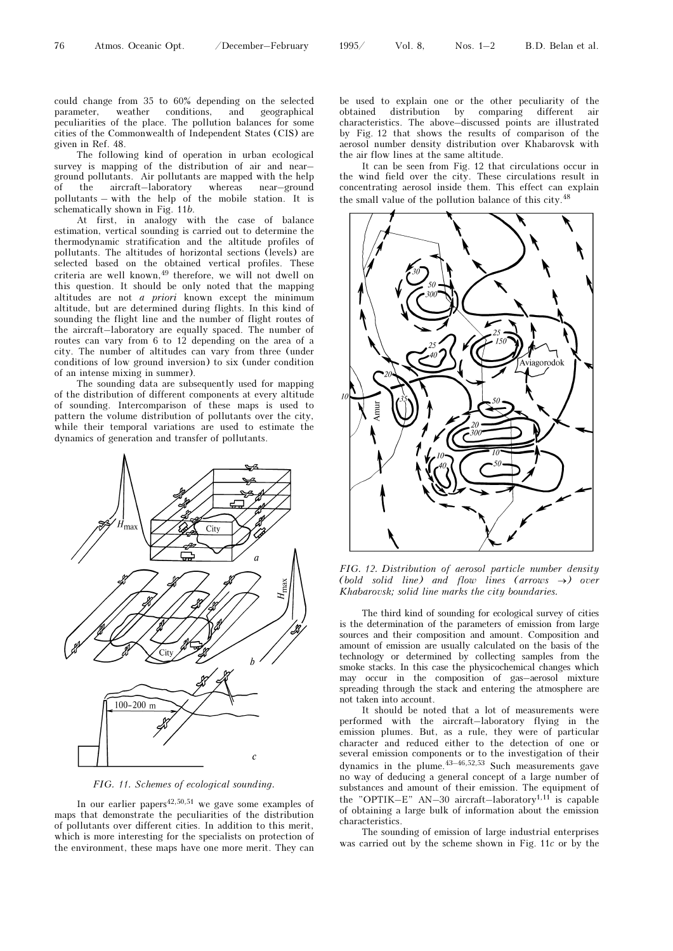could change from 35 to 60% depending on the selected parameter, weather conditions, and geographical peculiarities of the place. The pollution balances for some cities of the Commonwealth of Independent States (CIS) are given in Ref. 48.

The following kind of operation in urban ecological survey is mapping of the distribution of air and near– ground pollutants. Air pollutants are mapped with the help of the aircraft–laboratory whereas near–ground pollutants – with the help of the mobile station. It is schematically shown in Fig. 11b.

At first, in analogy with the case of balance estimation, vertical sounding is carried out to determine the thermodynamic stratification and the altitude profiles of pollutants. The altitudes of horizontal sections (levels) are selected based on the obtained vertical profiles. These criteria are well known,  $49$  therefore, we will not dwell on this question. It should be only noted that the mapping altitudes are not a priori known except the minimum altitude, but are determined during flights. In this kind of sounding the flight line and the number of flight routes of the aircraft–laboratory are equally spaced. The number of routes can vary from 6 to 12 depending on the area of a city. The number of altitudes can vary from three (under conditions of low ground inversion) to six (under condition of an intense mixing in summer).

The sounding data are subsequently used for mapping of the distribution of different components at every altitude of sounding. Intercomparison of these maps is used to pattern the volume distribution of pollutants over the city, while their temporal variations are used to estimate the dynamics of generation and transfer of pollutants.



FIG. 11. Schemes of ecological sounding.

In our earlier papers<sup>42,50,51</sup> we gave some examples of maps that demonstrate the peculiarities of the distribution of pollutants over different cities. In addition to this merit, which is more interesting for the specialists on protection of the environment, these maps have one more merit. They can

be used to explain one or the other peculiarity of the obtained distribution by comparing different air characteristics. The above–discussed points are illustrated by Fig. 12 that shows the results of comparison of the aerosol number density distribution over Khabarovsk with the air flow lines at the same altitude.

It can be seen from Fig. 12 that circulations occur in the wind field over the city. These circulations result in concentrating aerosol inside them. This effect can explain the small value of the pollution balance of this city.<sup>48</sup>



FIG. 12. Distribution of aerosol particle number density (bold solid line) and flow lines (arrows  $\rightarrow$ ) over Khabarovsk; solid line marks the city boundaries.

The third kind of sounding for ecological survey of cities is the determination of the parameters of emission from large sources and their composition and amount. Composition and amount of emission are usually calculated on the basis of the technology or determined by collecting samples from the smoke stacks. In this case the physicochemical changes which may occur in the composition of gas–aerosol mixture spreading through the stack and entering the atmosphere are not taken into account.

It should be noted that a lot of measurements were performed with the aircraft–laboratory flying in the emission plumes. But, as a rule, they were of particular character and reduced either to the detection of one or several emission components or to the investigation of their dynamics in the plume.43–46,52,53 Such measurements gave no way of deducing a general concept of a large number of substances and amount of their emission. The equipment of the "OPTIK–E" AN–30 aircraft–laboratory<sup>1,11</sup> is capable of obtaining a large bulk of information about the emission characteristics.

The sounding of emission of large industrial enterprises was carried out by the scheme shown in Fig. 11c or by the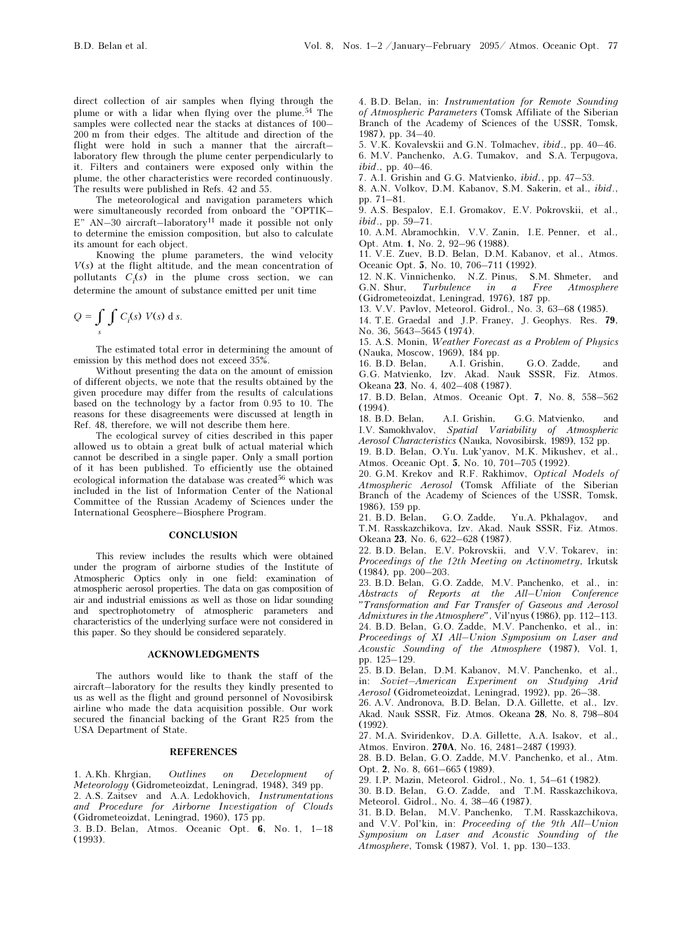direct collection of air samples when flying through the plume or with a lidar when flying over the plume.<sup>54</sup> The samples were collected near the stacks at distances of 100– 200 m from their edges. The altitude and direction of the flight were hold in such a manner that the aircraft– laboratory flew through the plume center perpendicularly to it. Filters and containers were exposed only within the plume, the other characteristics were recorded continuously. The results were published in Refs. 42 and 55.

The meteorological and navigation parameters which were simultaneously recorded from onboard the "OPTIK–  $E''$  AN–30 aircraft–laboratory<sup>11</sup> made it possible not only to determine the emission composition, but also to calculate its amount for each object.

Knowing the plume parameters, the wind velocity  $V(s)$  at the flight altitude, and the mean concentration of pollutants  $C_i(s)$  in the plume cross section, we can determine the amount of substance emitted per unit time

$$
Q = \int\limits_{s} \int C_i(s) V(s) \, \mathrm{d} s.
$$

The estimated total error in determining the amount of emission by this method does not exceed 35%.

Without presenting the data on the amount of emission of different objects, we note that the results obtained by the given procedure may differ from the results of calculations based on the technology by a factor from 0.95 to 10. The reasons for these disagreements were discussed at length in Ref. 48, therefore, we will not describe them here.

The ecological survey of cities described in this paper allowed us to obtain a great bulk of actual material which cannot be described in a single paper. Only a small portion of it has been published. To efficiently use the obtained ecological information the database was created  $^{56}$  which was included in the list of Information Center of the National Committee of the Russian Academy of Sciences under the International Geosphere–Biosphere Program.

#### **CONCLUSION**

This review includes the results which were obtained under the program of airborne studies of the Institute of Atmospheric Optics only in one field: examination of atmospheric aerosol properties. The data on gas composition of air and industrial emissions as well as those on lidar sounding and spectrophotometry of atmospheric parameters and characteristics of the underlying surface were not considered in this paper. So they should be considered separately.

#### ACKNOWLEDGMENTS

The authors would like to thank the staff of the aircraft–laboratory for the results they kindly presented to us as well as the flight and ground personnel of Novosibirsk airline who made the data acquisition possible. Our work secured the financial backing of the Grant R25 from the USA Department of State.

### **REFERENCES**

1. A.Kh. Khrgian, Outlines on Development of Meteorology (Gidrometeoizdat, Leningrad, 1948), 349 pp. 2. A.S. Zaitsev and A.A. Ledokhovich, Instrumentations and Procedure for Airborne Investigation of Clouds (Gidrometeoizdat, Leningrad, 1960), 175 pp.

3. B.D. Belan, Atmos. Oceanic Opt. 6, No. 1, 1–18 (1993).

4. B.D. Belan, in: Instrumentation for Remote Sounding of Atmospheric Parameters (Tomsk Affiliate of the Siberian Branch of the Academy of Sciences of the USSR, Tomsk, 1987), pp. 34–40.

5. V.K. Kovalevskii and G.N. Tolmachev, ibid., pp. 40–46. 6. M.V. Panchenko, A.G. Tumakov, and S.A. Terpugova, ibid., pp. 40–46.

7. A.I. Grishin and G.G. Matvienko, ibid., pp. 47–53.

8. A.N. Volkov, D.M. Kabanov, S.M. Sakerin, et al., ibid., pp. 71–81.

9. A.S. Bespalov, E.I. Gromakov, E.V. Pokrovskii, et al., ibid., pp. 59–71.

10. A.M. Abramochkin, V.V. Zanin, I.E. Penner, et al., Opt. Atm. 1, No. 2, 92–96 (1988).

11. V.E. Zuev, B.D. Belan, D.M. Kabanov, et al., Atmos. Oceanic Opt. 5, No. 10, 706–711 (1992).

12. N.K. Vinnichenko, N.Z. Pinus, S.M. Shmeter, and G.N. Shur, Turbulence in a Free Atmosphere (Gidrometeoizdat, Leningrad, 1976), 187 pp.

13. V.V. Pavlov, Meteorol. Gidrol., No. 3, 63–68 (1985).

14. T.E. Graedal and J.P. Franey, J. Geophys. Res. 79, No. 36, 5643–5645 (1974).

15. A.S. Monin, Weather Forecast as a Problem of Physics (Nauka, Moscow, 1969), 184 pp.

16. B.D. Belan, A.I. Grishin, G.O. Zadde, and G.G. Matvienko, Izv. Akad. Nauk SSSR, Fiz. Atmos. Okeana 23, No. 4, 402–408 (1987).

17. B.D. Belan, Atmos. Oceanic Opt. 7, No. 8, 558–562 (1994).

18. B.D. Belan, A.I. Grishin, G.G. Matvienko, and I.V. Samokhvalov, Spatial Variability of Atmospheric Aerosol Characteristics (Nauka, Novosibirsk, 1989), 152 pp.

19. B.D. Belan, O.Yu. Luk'yanov, M.K. Mikushev, et al., Atmos. Oceanic Opt. 5, No. 10, 701–705 (1992).

20. G.M. Krekov and R.F. Rakhimov, Optical Models of Atmospheric Aerosol (Tomsk Affiliate of the Siberian Branch of the Academy of Sciences of the USSR, Tomsk, 1986), 159 pp.

21. B.D. Belan, G.O. Zadde, Yu.A. Pkhalagov, and T.M. Rasskazchikova, Izv. Akad. Nauk SSSR, Fiz. Atmos. Okeana 23, No. 6, 622–628 (1987).

22. B.D. Belan, E.V. Pokrovskii, and V.V. Tokarev, in: Proceedings of the 12th Meeting on Actinometry, Irkutsk (1984), pp. 200–203.

23. B.D. Belan, G.O. Zadde, M.V. Panchenko, et al., in: Abstracts of Reports at the All–Union Conference "Transformation and Far Transfer of Gaseous and Aerosol Admixtures in the Atmosphere", Vil'nyus (1986), pp. 112–113. 24. B.D. Belan, G.O. Zadde, M.V. Panchenko, et al., in: Proceedings of XI All–Union Symposium on Laser and Acoustic Sounding of the Atmosphere (1987), Vol. 1, pp. 125–129.

25. B.D. Belan, D.M. Kabanov, M.V. Panchenko, et al., in: Soviet–American Experiment on Studying Arid Aerosol (Gidrometeoizdat, Leningrad, 1992), pp. 26–38.

26. A.V. Andronova, B.D. Belan, D.A. Gillette, et al., Izv. Akad. Nauk SSSR, Fiz. Atmos. Okeana 28, No. 8, 798–804 (1992).

27. M.A. Sviridenkov, D.A. Gillette, A.A. Isakov, et al., Atmos. Environ. 270A, No. 16, 2481–2487 (1993).

28. B.D. Belan, G.O. Zadde, M.V. Panchenko, et al., Atm. Opt. 2, No. 8, 661–665 (1989).

29. I.P. Mazin, Meteorol. Gidrol., No. 1, 54–61 (1982).

30. B.D. Belan, G.O. Zadde, and T.M. Rasskazchikova, Meteorol. Gidrol., No. 4, 38–46 (1987).

31. B.D. Belan, M.V. Panchenko, T.M. Rasskazchikova, and V.V. Pol'kin, in: Proceeding of the 9th All–Union Symposium on Laser and Acoustic Sounding of the Atmosphere, Tomsk (1987), Vol. 1, pp. 130–133.